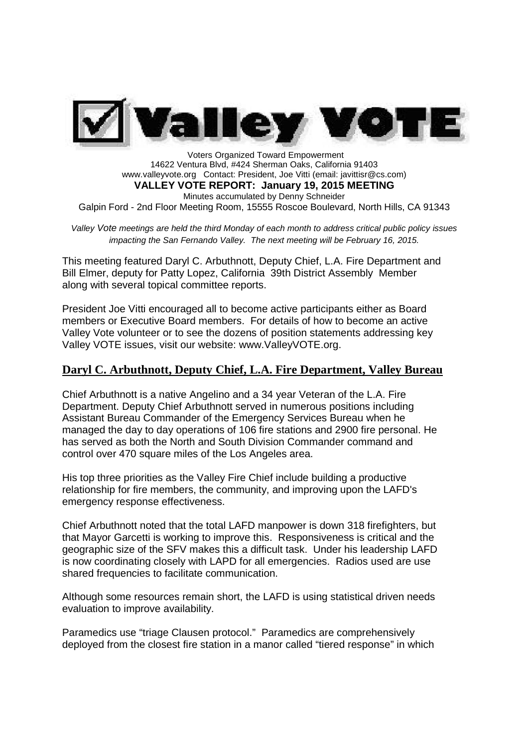

Voters Organized Toward Empowerment 14622 Ventura Blvd, #424 Sherman Oaks, California 91403 www.valleyvote.org Contact: President, Joe Vitti (email: javittisr@cs.com) **VALLEY VOTE REPORT: January 19, 2015 MEETING** Minutes accumulated by Denny Schneider Galpin Ford - 2nd Floor Meeting Room, 15555 Roscoe Boulevard, North Hills, CA 91343

*Valley Vote meetings are held the third Monday of each month to address critical public policy issues impacting the San Fernando Valley. The next meeting will be February 16, 2015.*

This meeting featured Daryl C. Arbuthnott, Deputy Chief, L.A. Fire Department and Bill Elmer, deputy for Patty Lopez, California 39th District Assembly Member along with several topical committee reports.

President Joe Vitti encouraged all to become active participants either as Board members or Executive Board members. For details of how to become an active Valley Vote volunteer or to see the dozens of position statements addressing key Valley VOTE issues, visit our website: www.ValleyVOTE.org.

## **Daryl C. Arbuthnott, Deputy Chief, L.A. Fire Department, Valley Bureau**

Chief Arbuthnott is a native Angelino and a 34 year Veteran of the L.A. Fire Department. Deputy Chief Arbuthnott served in numerous positions including Assistant Bureau Commander of the Emergency Services Bureau when he managed the day to day operations of 106 fire stations and 2900 fire personal. He has served as both the North and South Division Commander command and control over 470 square miles of the Los Angeles area.

His top three priorities as the Valley Fire Chief include building a productive relationship for fire members, the community, and improving upon the LAFD's emergency response effectiveness.

Chief Arbuthnott noted that the total LAFD manpower is down 318 firefighters, but that Mayor Garcetti is working to improve this. Responsiveness is critical and the geographic size of the SFV makes this a difficult task. Under his leadership LAFD is now coordinating closely with LAPD for all emergencies. Radios used are use shared frequencies to facilitate communication.

Although some resources remain short, the LAFD is using statistical driven needs evaluation to improve availability.

Paramedics use "triage Clausen protocol." Paramedics are comprehensively deployed from the closest fire station in a manor called "tiered response" in which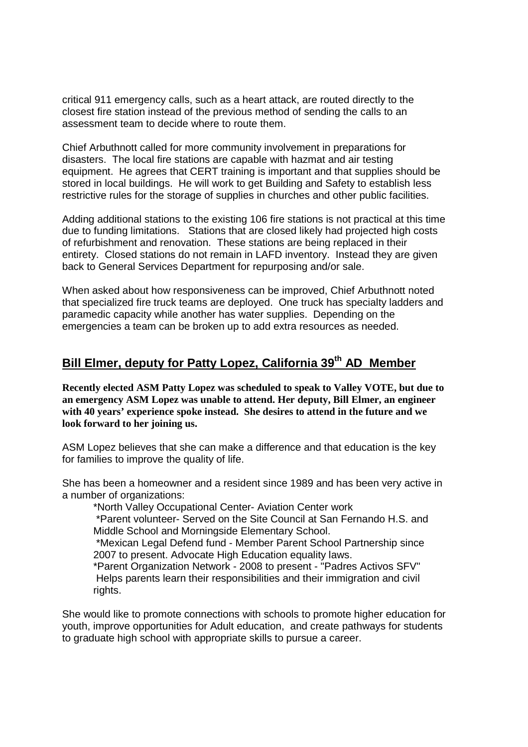critical 911 emergency calls, such as a heart attack, are routed directly to the closest fire station instead of the previous method of sending the calls to an assessment team to decide where to route them.

Chief Arbuthnott called for more community involvement in preparations for disasters. The local fire stations are capable with hazmat and air testing equipment. He agrees that CERT training is important and that supplies should be stored in local buildings. He will work to get Building and Safety to establish less restrictive rules for the storage of supplies in churches and other public facilities.

Adding additional stations to the existing 106 fire stations is not practical at this time due to funding limitations. Stations that are closed likely had projected high costs of refurbishment and renovation. These stations are being replaced in their entirety. Closed stations do not remain in LAFD inventory. Instead they are given back to General Services Department for repurposing and/or sale.

When asked about how responsiveness can be improved, Chief Arbuthnott noted that specialized fire truck teams are deployed. One truck has specialty ladders and paramedic capacity while another has water supplies. Depending on the emergencies a team can be broken up to add extra resources as needed.

# **Bill Elmer, deputy for Patty Lopez, California 39th AD Member**

**Recently elected ASM Patty Lopez was scheduled to speak to Valley VOTE, but due to an emergency ASM Lopez was unable to attend. Her deputy, Bill Elmer, an engineer with 40 years' experience spoke instead. She desires to attend in the future and we look forward to her joining us.**

ASM Lopez believes that she can make a difference and that education is the key for families to improve the quality of life.

She has been a homeowner and a resident since 1989 and has been very active in a number of organizations:

\*North Valley Occupational Center- Aviation Center work

\*Parent volunteer- Served on the Site Council at San Fernando H.S. and Middle School and Morningside Elementary School.

\*Mexican Legal Defend fund - Member Parent School Partnership since 2007 to present. Advocate High Education equality laws.

\*Parent Organization Network - 2008 to present - "Padres Activos SFV" Helps parents learn their responsibilities and their immigration and civil rights.

She would like to promote connections with schools to promote higher education for youth, improve opportunities for Adult education, and create pathways for students to graduate high school with appropriate skills to pursue a career.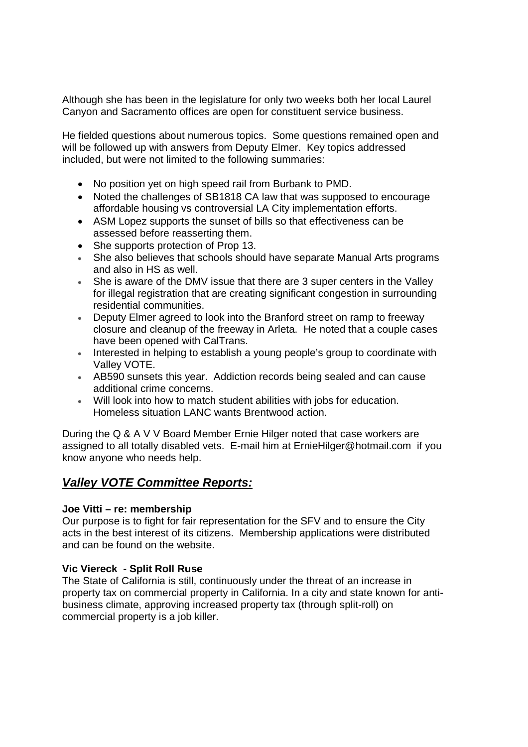Although she has been in the legislature for only two weeks both her local Laurel Canyon and Sacramento offices are open for constituent service business.

He fielded questions about numerous topics. Some questions remained open and will be followed up with answers from Deputy Elmer. Key topics addressed included, but were not limited to the following summaries:

- No position yet on high speed rail from Burbank to PMD.
- Noted the challenges of SB1818 CA law that was supposed to encourage affordable housing vs controversial LA City implementation efforts.
- ASM Lopez supports the sunset of bills so that effectiveness can be assessed before reasserting them.
- She supports protection of Prop 13.
- She also believes that schools should have separate Manual Arts programs and also in HS as well.
- She is aware of the DMV issue that there are 3 super centers in the Valley for illegal registration that are creating significant congestion in surrounding residential communities.
- Deputy Elmer agreed to look into the Branford street on ramp to freeway closure and cleanup of the freeway in Arleta. He noted that a couple cases have been opened with CalTrans.
- Interested in helping to establish a young people's group to coordinate with Valley VOTE.
- AB590 sunsets this year. Addiction records being sealed and can cause additional crime concerns.
- Will look into how to match student abilities with jobs for education. Homeless situation LANC wants Brentwood action.

During the Q & A V V Board Member Ernie Hilger noted that case workers are assigned to all totally disabled vets. E-mail him at ErnieHilger@hotmail.com if you know anyone who needs help.

## *Valley VOTE Committee Reports:*

#### **Joe Vitti – re: membership**

Our purpose is to fight for fair representation for the SFV and to ensure the City acts in the best interest of its citizens. Membership applications were distributed and can be found on the website.

#### **Vic Viereck - Split Roll Ruse**

The State of California is still, continuously under the threat of an increase in property tax on commercial property in California. In a city and state known for antibusiness climate, approving increased property tax (through split-roll) on commercial property is a job killer.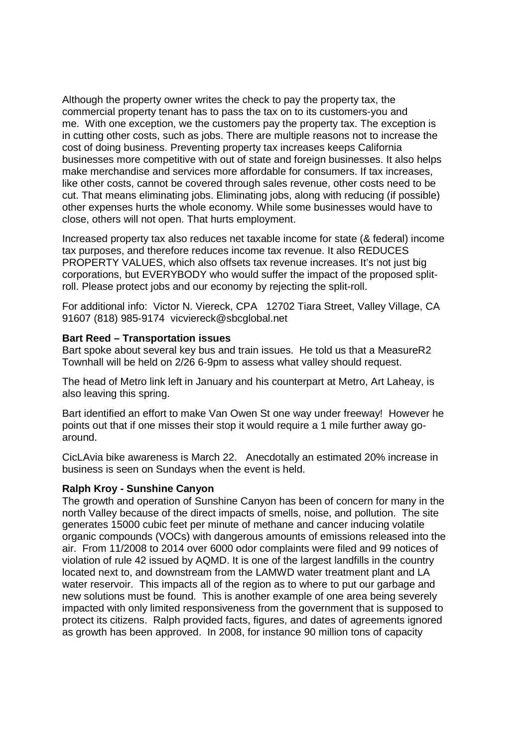Although the property owner writes the check to pay the property tax, the commercial property tenant has to pass the tax on to its customers-you and me. With one exception, we the customers pay the property tax. The exception is in cutting other costs, such as jobs. There are multiple reasons not to increase the cost of doing business. Preventing property tax increases keeps California businesses more competitive with out of state and foreign businesses. It also helps make merchandise and services more affordable for consumers. If tax increases, like other costs, cannot be covered through sales revenue, other costs need to be cut. That means eliminating jobs. Eliminating jobs, along with reducing (if possible) other expenses hurts the whole economy. While some businesses would have to close, others will not open. That hurts employment.

Increased property tax also reduces net taxable income for state (& federal) income tax purposes, and therefore reduces income tax revenue. It also REDUCES PROPERTY VALUES, which also offsets tax revenue increases. It's not just big corporations, but EVERYBODY who would suffer the impact of the proposed splitroll. Please protect jobs and our economy by rejecting the split-roll.

For additional info: Victor N. Viereck, CPA 12702 Tiara Street, Valley Village, CA 91607 (818) 985-9174 vicviereck@sbcglobal.net

#### **Bart Reed – Transportation issues**

Bart spoke about several key bus and train issues. He told us that a MeasureR2 Townhall will be held on 2/26 6-9pm to assess what valley should request.

The head of Metro link left in January and his counterpart at Metro, Art Laheay, is also leaving this spring.

Bart identified an effort to make Van Owen St one way under freeway! However he points out that if one misses their stop it would require a 1 mile further away goaround.

CicLAvia bike awareness is March 22. Anecdotally an estimated 20% increase in business is seen on Sundays when the event is held.

#### **Ralph Kroy - Sunshine Canyon**

The growth and operation of Sunshine Canyon has been of concern for many in the north Valley because of the direct impacts of smells, noise, and pollution. The site generates 15000 cubic feet per minute of methane and cancer inducing volatile organic compounds (VOCs) with dangerous amounts of emissions released into the air. From 11/2008 to 2014 over 6000 odor complaints were filed and 99 notices of violation of rule 42 issued by AQMD. It is one of the largest landfills in the country located next to, and downstream from the LAMWD water treatment plant and LA water reservoir. This impacts all of the region as to where to put our garbage and new solutions must be found. This is another example of one area being severely impacted with only limited responsiveness from the government that is supposed to protect its citizens. Ralph provided facts, figures, and dates of agreements ignored as growth has been approved. In 2008, for instance 90 million tons of capacity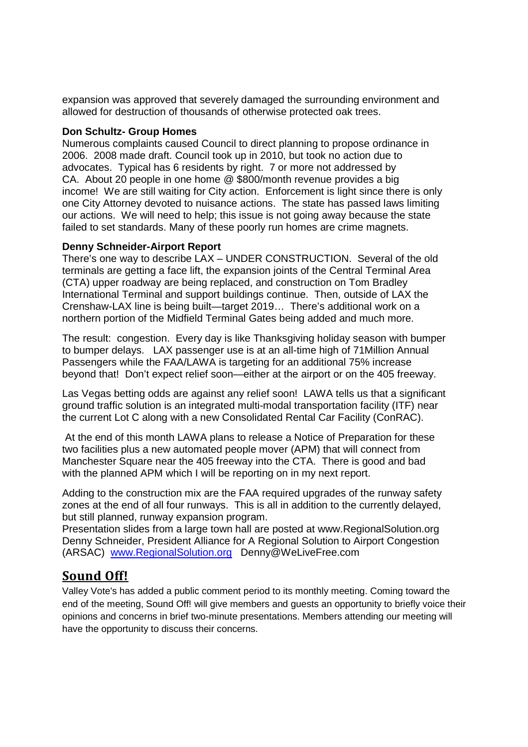expansion was approved that severely damaged the surrounding environment and allowed for destruction of thousands of otherwise protected oak trees.

#### **Don Schultz- Group Homes**

Numerous complaints caused Council to direct planning to propose ordinance in 2006. 2008 made draft. Council took up in 2010, but took no action due to advocates. Typical has 6 residents by right. 7 or more not addressed by CA. About 20 people in one home @ \$800/month revenue provides a big income! We are still waiting for City action. Enforcement is light since there is only one City Attorney devoted to nuisance actions. The state has passed laws limiting our actions. We will need to help; this issue is not going away because the state failed to set standards. Many of these poorly run homes are crime magnets.

#### **Denny Schneider-Airport Report**

There's one way to describe LAX – UNDER CONSTRUCTION. Several of the old terminals are getting a face lift, the expansion joints of the Central Terminal Area (CTA) upper roadway are being replaced, and construction on Tom Bradley International Terminal and support buildings continue. Then, outside of LAX the Crenshaw-LAX line is being built—target 2019… There's additional work on a northern portion of the Midfield Terminal Gates being added and much more.

The result: congestion. Every day is like Thanksgiving holiday season with bumper to bumper delays. LAX passenger use is at an all-time high of 71Million Annual Passengers while the FAA/LAWA is targeting for an additional 75% increase beyond that! Don't expect relief soon—either at the airport or on the 405 freeway.

Las Vegas betting odds are against any relief soon! LAWA tells us that a significant ground traffic solution is an integrated multi-modal transportation facility (ITF) near the current Lot C along with a new Consolidated Rental Car Facility (ConRAC).

At the end of this month LAWA plans to release a Notice of Preparation for these two facilities plus a new automated people mover (APM) that will connect from Manchester Square near the 405 freeway into the CTA. There is good and bad with the planned APM which I will be reporting on in my next report.

Adding to the construction mix are the FAA required upgrades of the runway safety zones at the end of all four runways. This is all in addition to the currently delayed, but still planned, runway expansion program.

Presentation slides from a large town hall are posted at www.RegionalSolution.org Denny Schneider, President Alliance for A Regional Solution to Airport Congestion (ARSAC) www.RegionalSolution.org Denny@WeLiveFree.com

## **Sound Off!**

Valley Vote's has added a public comment period to its monthly meeting. Coming toward the end of the meeting, Sound Off! will give members and guests an opportunity to briefly voice their opinions and concerns in brief two-minute presentations. Members attending our meeting will have the opportunity to discuss their concerns.